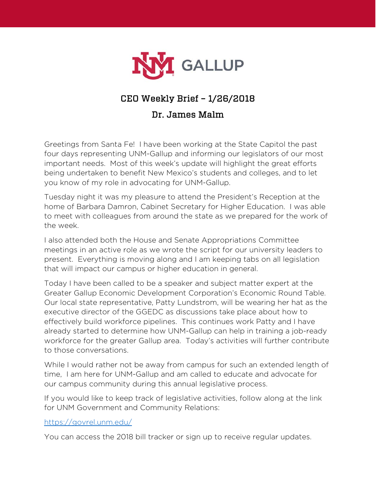

# CEO Weekly Brief – 1/26/2018

#### Dr. James Malm

Greetings from Santa Fe! I have been working at the State Capitol the past four days representing UNM-Gallup and informing our legislators of our most important needs. Most of this week's update will highlight the great efforts being undertaken to benefit New Mexico's students and colleges, and to let you know of my role in advocating for UNM-Gallup.

Tuesday night it was my pleasure to attend the President's Reception at the home of Barbara Damron, Cabinet Secretary for Higher Education. I was able to meet with colleagues from around the state as we prepared for the work of the week.

I also attended both the House and Senate Appropriations Committee meetings in an active role as we wrote the script for our university leaders to present. Everything is moving along and I am keeping tabs on all legislation that will impact our campus or higher education in general.

Today I have been called to be a speaker and subject matter expert at the Greater Gallup Economic Development Corporation's Economic Round Table. Our local state representative, Patty Lundstrom, will be wearing her hat as the executive director of the GGEDC as discussions take place about how to effectively build workforce pipelines. This continues work Patty and I have already started to determine how UNM-Gallup can help in training a job-ready workforce for the greater Gallup area. Today's activities will further contribute to those conversations.

While I would rather not be away from campus for such an extended length of time, I am here for UNM-Gallup and am called to educate and advocate for our campus community during this annual legislative process.

If you would like to keep track of legislative activities, follow along at the link for UNM Government and Community Relations:

#### <https://govrel.unm.edu/>

You can access the 2018 bill tracker or sign up to receive regular updates.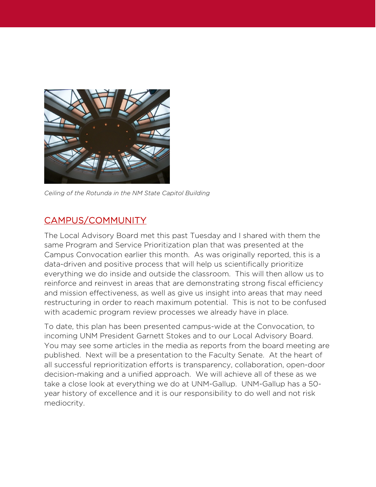

*Ceiling of the Rotunda in the NM State Capitol Building*

## CAMPUS/COMMUNITY

The Local Advisory Board met this past Tuesday and I shared with them the same Program and Service Prioritization plan that was presented at the Campus Convocation earlier this month. As was originally reported, this is a data-driven and positive process that will help us scientifically prioritize everything we do inside and outside the classroom. This will then allow us to reinforce and reinvest in areas that are demonstrating strong fiscal efficiency and mission effectiveness, as well as give us insight into areas that may need restructuring in order to reach maximum potential. This is not to be confused with academic program review processes we already have in place.

To date, this plan has been presented campus-wide at the Convocation, to incoming UNM President Garnett Stokes and to our Local Advisory Board. You may see some articles in the media as reports from the board meeting are published. Next will be a presentation to the Faculty Senate. At the heart of all successful reprioritization efforts is transparency, collaboration, open-door decision-making and a unified approach. We will achieve all of these as we take a close look at everything we do at UNM-Gallup. UNM-Gallup has a 50 year history of excellence and it is our responsibility to do well and not risk mediocrity.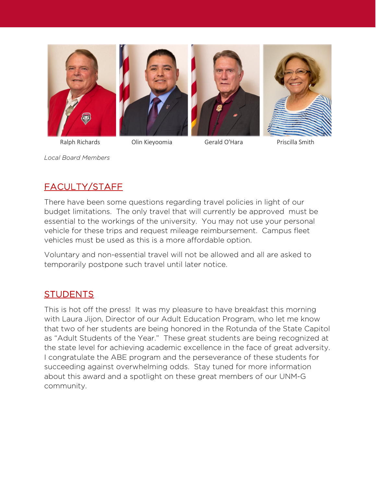

Ralph Richards **Olin Kieyoomia** Gerald O'Hara Priscilla Smith

*Local Board Members*

# FACULTY/STAFF

There have been some questions regarding travel policies in light of our budget limitations. The only travel that will currently be approved must be essential to the workings of the university. You may not use your personal vehicle for these trips and request mileage reimbursement. Campus fleet vehicles must be used as this is a more affordable option.

Voluntary and non-essential travel will not be allowed and all are asked to temporarily postpone such travel until later notice.

### **STUDENTS**

This is hot off the press! It was my pleasure to have breakfast this morning with Laura Jijon, Director of our Adult Education Program, who let me know that two of her students are being honored in the Rotunda of the State Capitol as "Adult Students of the Year." These great students are being recognized at the state level for achieving academic excellence in the face of great adversity. I congratulate the ABE program and the perseverance of these students for succeeding against overwhelming odds. Stay tuned for more information about this award and a spotlight on these great members of our UNM-G community.